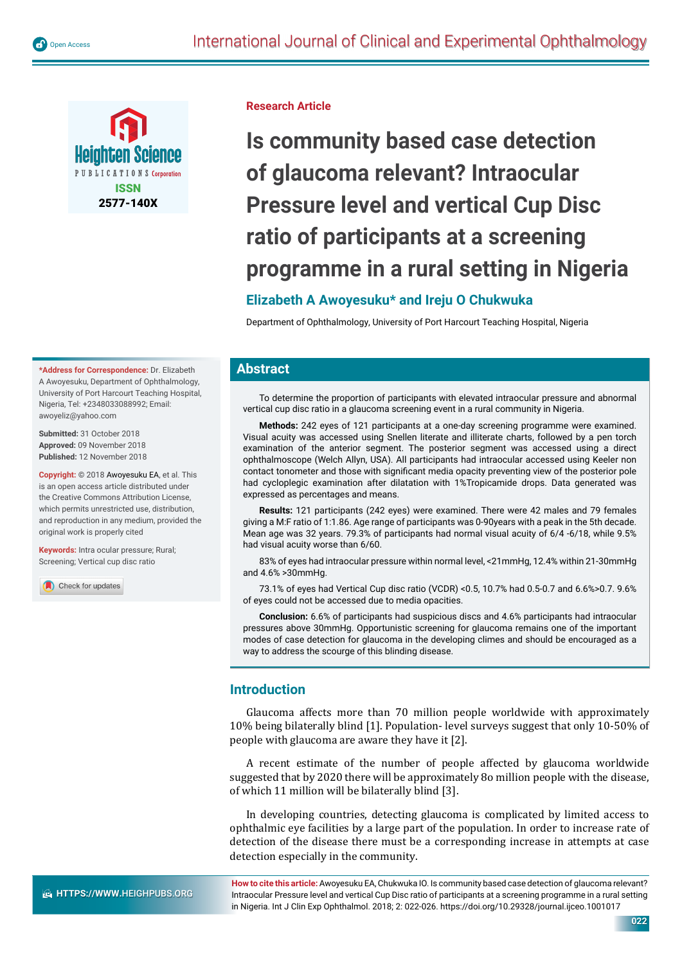

**Research Article**

# **Is community based case detection of glaucoma relevant? Intraocular Pressure level and vertical Cup Disc ratio of participants at a screening programme in a rural setting in Nigeria**

# **Elizabeth A Awoyesuku\* and Ireju O Chukwuka**

Department of Ophthalmology, University of Port Harcourt Teaching Hospital, Nigeria

#### **Abstract**

To determine the proportion of participants with elevated intraocular pressure and abnormal vertical cup disc ratio in a glaucoma screening event in a rural community in Nigeria.

**Methods:** 242 eyes of 121 participants at a one-day screening programme were examined. Visual acuity was accessed using Snellen literate and illiterate charts, followed by a pen torch examination of the anterior segment. The posterior segment was accessed using a direct ophthalmoscope (Welch Allyn, USA). All participants had intraocular accessed using Keeler non contact tonometer and those with significant media opacity preventing view of the posterior pole had cycloplegic examination after dilatation with 1%Tropicamide drops. Data generated was expressed as percentages and means.

**Results:** 121 participants (242 eyes) were examined. There were 42 males and 79 females giving a M:F ratio of 1:1.86. Age range of participants was 0-90years with a peak in the 5th decade. Mean age was 32 years. 79.3% of participants had normal visual acuity of 6/4 -6/18, while 9.5% had visual acuity worse than 6/60.

83% of eyes had intraocular pressure within normal level, <21mmHg, 12.4% within 21-30mmHg and 4.6% >30mmHg.

73.1% of eyes had Vertical Cup disc ratio (VCDR) <0.5, 10.7% had 0.5-0.7 and 6.6%>0.7. 9.6% of eyes could not be accessed due to media opacities.

**Conclusion:** 6.6% of participants had suspicious discs and 4.6% participants had intraocular pressures above 30mmHg. Opportunistic screening for glaucoma remains one of the important modes of case detection for glaucoma in the developing climes and should be encouraged as a way to address the scourge of this blinding disease.

### **Introduction**

Glaucoma affects more than 70 million people worldwide with approximately 10% being bilaterally blind [1]. Population- level surveys suggest that only 10-50% of people with glaucoma are aware they have it [2].

A recent estimate of the number of people affected by glaucoma worldwide suggested that by 2020 there will be approximately 8o million people with the disease, of which 11 million will be bilaterally blind [3].

In developing countries, detecting glaucoma is complicated by limited access to ophthalmic eye facilities by a large part of the population. In order to increase rate of detection of the disease there must be a corresponding increase in attempts at case detection especially in the community.

**How to cite this article:** Awoyesuku EA, Chukwuka IO. Is community based case detection of glaucoma relevant? Intraocular Pressure level and vertical Cup Disc ratio of participants at a screening programme in a rural setting in Nigeria. Int J Clin Exp Ophthalmol. 2018; 2: 022-026. https://doi.org/10.29328/journal.ijceo.1001017

**\*Address for Correspondence:** Dr. Elizabeth A Awoyesuku, Department of Ophthalmology, University of Port Harcourt Teaching Hospital, Nigeria, Tel: +2348033088992; Email: awoyeliz@yahoo.com

**Submitted:** 31 October 2018 **Approved:** 09 November 2018 **Published:** 12 November 2018

**Copyright:** © 2018 Awoyesuku EA, et al. This is an open access article distributed under the Creative Commons Attribution License, which permits unrestricted use, distribution and reproduction in any medium, provided the original work is properly cited

**Keywords:** Intra ocular pressure: Rural: Screening; Vertical cup disc ratio

Check for updates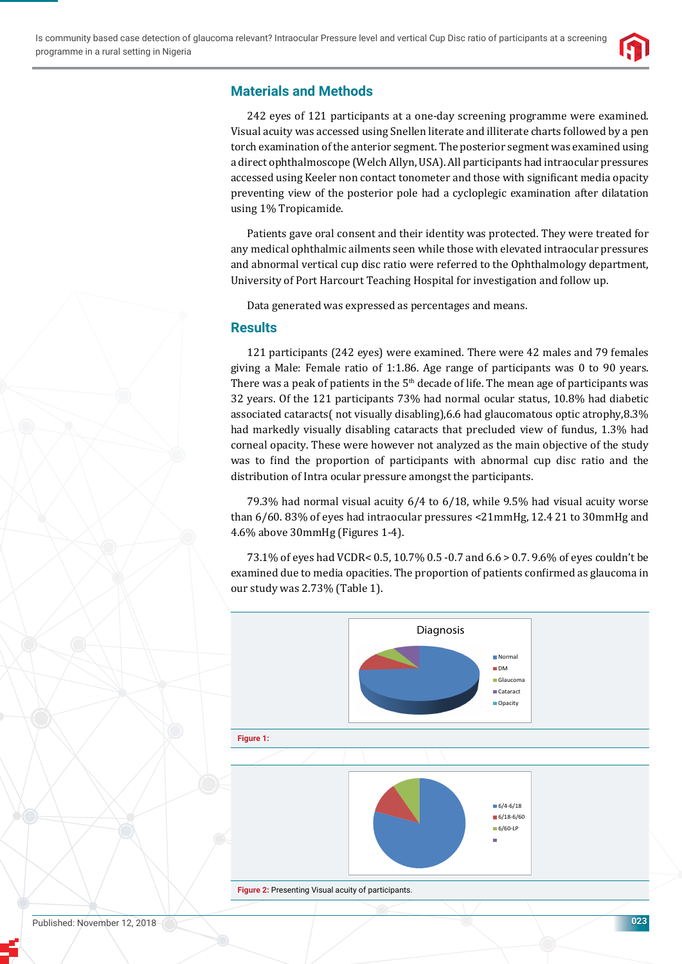

# **Materials and Methods**

242 eyes of 121 participants at a one-day screening programme were examined. Visual acuity was accessed using Snellen literate and illiterate charts followed by a pen torch examination of the anterior segment. The posterior segment was examined using a direct ophthalmoscope (Welch Allyn, USA). All participants had intraocular pressures accessed using Keeler non contact tonometer and those with significant media opacity preventing view of the posterior pole had a cycloplegic examination after dilatation using 1% Tropicamide.

Patients gave oral consent and their identity was protected. They were treated for any medical ophthalmic ailments seen while those with elevated intraocular pressures and abnormal vertical cup disc ratio were referred to the Ophthalmology department, University of Port Harcourt Teaching Hospital for investigation and follow up.

Data generated was expressed as percentages and means.

## **Results**

121 participants (242 eyes) were examined. There were 42 males and 79 females giving a Male: Female ratio of 1:1.86. Age range of participants was 0 to 90 years. There was a peak of patients in the 5<sup>th</sup> decade of life. The mean age of participants was 32 years. Of the 121 participants 73% had normal ocular status, 10.8% had diabetic associated cataracts( not visually disabling),6.6 had glaucomatous optic atrophy,8.3% had markedly visually disabling cataracts that precluded view of fundus, 1.3% had corneal opacity. These were however not analyzed as the main objective of the study was to find the proportion of participants with abnormal cup disc ratio and the distribution of Intra ocular pressure amongst the participants.

79.3% had normal visual acuity 6/4 to 6/18, while 9.5% had visual acuity worse than 6/60. 83% of eyes had intraocular pressures <21mmHg, 12.4 21 to 30mmHg and 4.6% above 30mmHg (Figures 1-4).

73.1% of eyes had VCDR< 0.5, 10.7% 0.5 -0.7 and 6.6 > 0.7. 9.6% of eyes couldn't be examined due to media opacities. The proportion of patients confirmed as glaucoma in our study was 2.73% (Table 1).

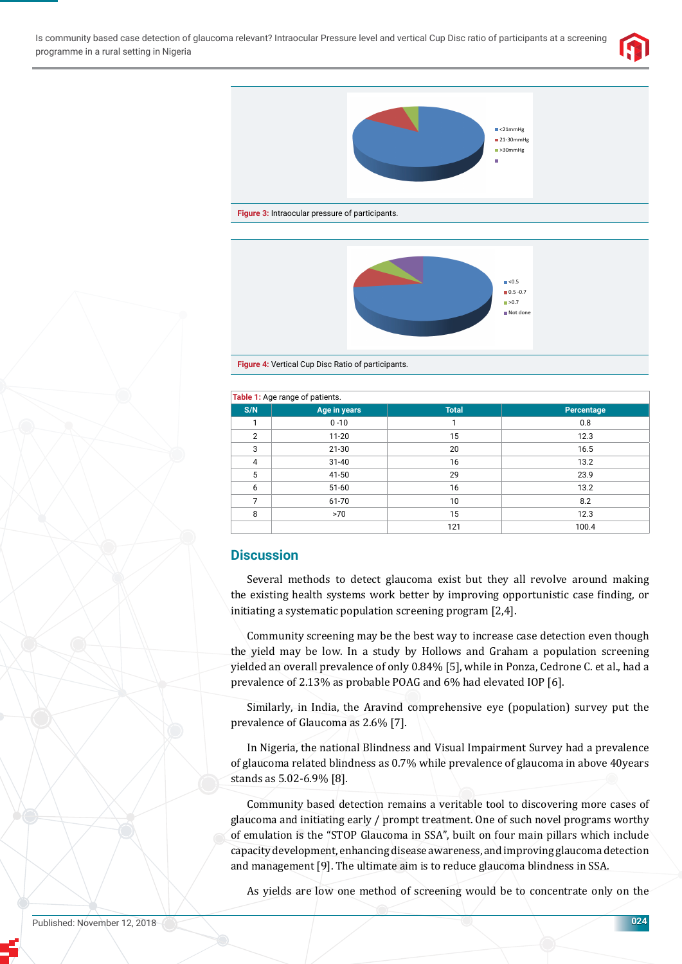



**Figure 3:** Intraocular pressure of participants.



**Figure 4:** Vertical Cup Disc Ratio of participants.

| Table 1: Age range of patients. |              |              |            |
|---------------------------------|--------------|--------------|------------|
| S/N                             | Age in years | <b>Total</b> | Percentage |
|                                 | $0 - 10$     |              | 0.8        |
| $\overline{2}$                  | $11 - 20$    | 15           | 12.3       |
| 3                               | $21 - 30$    | 20           | 16.5       |
| $\overline{4}$                  | $31 - 40$    | 16           | 13.2       |
| 5                               | 41-50        | 29           | 23.9       |
| 6                               | $51 - 60$    | 16           | 13.2       |
| 7                               | 61-70        | 10           | 8.2        |
| 8                               | >70          | 15           | 12.3       |
|                                 |              | 121          | 100.4      |

## **Discussion**

Several methods to detect glaucoma exist but they all revolve around making the existing health systems work better by improving opportunistic case finding, or initiating a systematic population screening program [2,4].

Community screening may be the best way to increase case detection even though the yield may be low. In a study by Hollows and Graham a population screening yielded an overall prevalence of only 0.84% [5], while in Ponza, Cedrone C. et al., had a prevalence of 2.13% as probable POAG and 6% had elevated IOP [6].

Similarly, in India, the Aravind comprehensive eye (population) survey put the prevalence of Glaucoma as 2.6% [7].

In Nigeria, the national Blindness and Visual Impairment Survey had a prevalence of glaucoma related blindness as 0.7% while prevalence of glaucoma in above 40years stands as 5.02-6.9% [8].

Community based detection remains a veritable tool to discovering more cases of glaucoma and initiating early / prompt treatment. One of such novel programs worthy of emulation is the "STOP Glaucoma in SSA", built on four main pillars which include capacity development, enhancing disease awareness, and improving glaucoma detection and management [9]. The ultimate aim is to reduce glaucoma blindness in SSA.

As yields are low one method of screening would be to concentrate only on the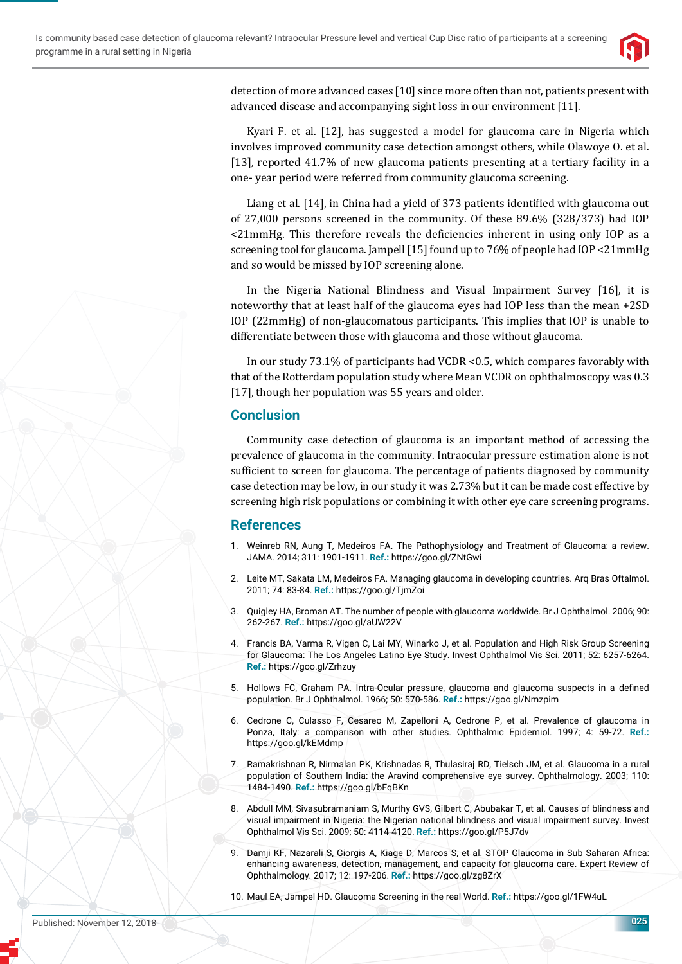

detection of more advanced cases [10] since more often than not, patients present with advanced disease and accompanying sight loss in our environment [11].

Kyari F. et al. [12], has suggested a model for glaucoma care in Nigeria which involves improved community case detection amongst others, while Olawoye O. et al. [13], reported 41.7% of new glaucoma patients presenting at a tertiary facility in a one- year period were referred from community glaucoma screening.

Liang et al. [14], in China had a yield of 373 patients identified with glaucoma out of 27,000 persons screened in the community. Of these 89.6% (328/373) had IOP  $\leq$ 21mmHg. This therefore reveals the deficiencies inherent in using only IOP as a screening tool for glaucoma. Jampell [15] found up to 76% of people had IOP <21mmHg and so would be missed by IOP screening alone.

In the Nigeria National Blindness and Visual Impairment Survey [16], it is noteworthy that at least half of the glaucoma eyes had IOP less than the mean +2SD IOP (22mmHg) of non-glaucomatous participants. This implies that IOP is unable to differentiate between those with glaucoma and those without glaucoma.

In our study 73.1% of participants had VCDR <0.5, which compares favorably with that of the Rotterdam population study where Mean VCDR on ophthalmoscopy was 0.3 [17], though her population was 55 years and older.

## **Conclusion**

Community case detection of glaucoma is an important method of accessing the prevalence of glaucoma in the community. Intraocular pressure estimation alone is not sufficient to screen for glaucoma. The percentage of patients diagnosed by community case detection may be low, in our study it was 2.73% but it can be made cost effective by screening high risk populations or combining it with other eye care screening programs.

### **References**

- 1. Weinreb RN, Aung T, Medeiros FA. The Pathophysiology and Treatment of Glaucoma: a review. JAMA. 2014; 311: 1901-1911. **Ref.:** https://goo.gl/ZNtGwi
- 2. Leite MT, Sakata LM, Medeiros FA. Managing glaucoma in developing countries. Arq Bras Oftalmol. 2011; 74: 83-84. **Ref.:** https://goo.gl/TjmZoi
- 3. Quigley HA, Broman AT. The number of people with glaucoma worldwide. Br J Ophthalmol. 2006; 90: 262-267. **Ref.:** https://goo.gl/aUW22V
- 4. Francis BA, Varma R, Vigen C, Lai MY, Winarko J, et al. Population and High Risk Group Screening for Glaucoma: The Los Angeles Latino Eye Study. Invest Ophthalmol Vis Sci. 2011; 52: 6257-6264. **Ref.:** https://goo.gl/Zrhzuy
- 5. Hollows FC, Graham PA. Intra-Ocular pressure, glaucoma and glaucoma suspects in a defined population. Br J Ophthalmol. 1966; 50: 570-586. **Ref.:** https://goo.gl/Nmzpim
- 6. Cedrone C, Culasso F, Cesareo M, Zapelloni A, Cedrone P, et al. Prevalence of glaucoma in Ponza, Italy: a comparison with other studies. Ophthalmic Epidemiol. 1997; 4: 59-72. **Ref.:** https://goo.gl/kEMdmp
- 7. Ramakrishnan R, Nirmalan PK, Krishnadas R, Thulasiraj RD, Tielsch JM, et al. Glaucoma in a rural population of Southern India: the Aravind comprehensive eye survey. Ophthalmology. 2003; 110: 1484-1490. **Ref.:** https://goo.gl/bFqBKn
- 8. Abdull MM, Sivasubramaniam S, Murthy GVS, Gilbert C, Abubakar T, et al. Causes of blindness and visual impairment in Nigeria: the Nigerian national blindness and visual impairment survey. Invest Ophthalmol Vis Sci. 2009; 50: 4114-4120. **Ref.:** https://goo.gl/P5J7dv
- 9. Damji KF, Nazarali S, Giorgis A, Kiage D, Marcos S, et al. STOP Glaucoma in Sub Saharan Africa: enhancing awareness, detection, management, and capacity for glaucoma care. Expert Review of Ophthalmology. 2017; 12: 197-206. **Ref.:** https://goo.gl/zg8ZrX
- 10. Maul EA, Jampel HD. Glaucoma Screening in the real World. **Ref.:** https://goo.gl/1FW4uL